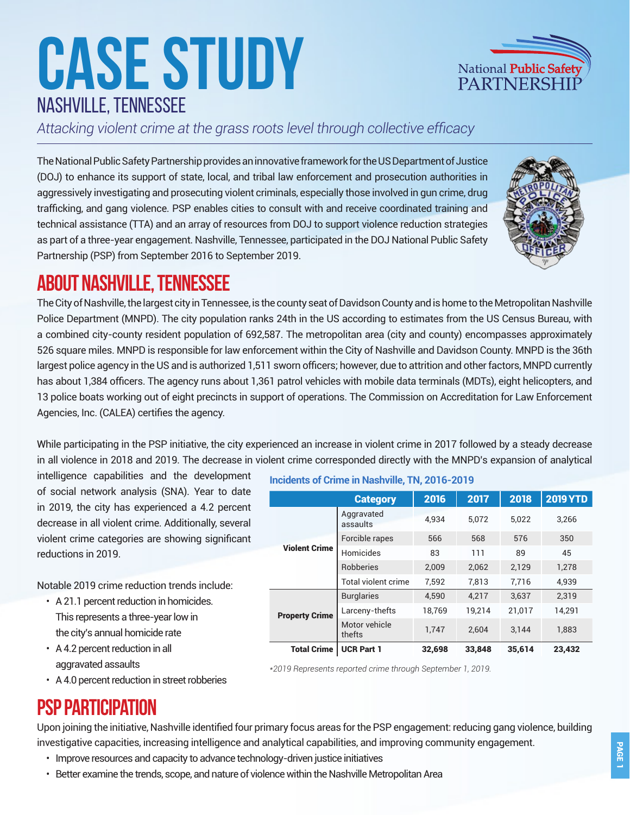# **Case Study** nashville, tennessee

*Attacking violent crime at the grass roots level through collective efficacy*

The National Public Safety Partnership provides an innovative framework for the US Department of Justice (DOJ) to enhance its support of state, local, and tribal law enforcement and prosecution authorities in aggressively investigating and prosecuting violent criminals, especially those involved in gun crime, drug trafficking, and gang violence. PSP enables cities to consult with and receive coordinated training and technical assistance (TTA) and an array of resources from DOJ to support violence reduction strategies as part of a three-year engagement. Nashville, Tennessee, participated in the DOJ National Public Safety Partnership (PSP) from September 2016 to September 2019.



National Public Safety PARTNERSHI

# **About nashville, tennessee**

The City of Nashville, the largest city in Tennessee, is the county seat of Davidson County and is home to the Metropolitan Nashville Police Department (MNPD). The city population ranks 24th in the US according to estimates from the US Census Bureau, with a combined city-county resident population of 692,587. The metropolitan area (city and county) encompasses approximately 526 square miles. MNPD is responsible for law enforcement within the City of Nashville and Davidson County. MNPD is the 36th largest police agency in the US and is authorized 1,511 sworn officers; however, due to attrition and other factors, MNPD currently has about 1,384 officers. The agency runs about 1,361 patrol vehicles with mobile data terminals (MDTs), eight helicopters, and 13 police boats working out of eight precincts in support of operations. The Commission on Accreditation for Law Enforcement Agencies, Inc. (CALEA) certifies the agency.

While participating in the PSP initiative, the city experienced an increase in violent crime in 2017 followed by a steady decrease in all violence in 2018 and 2019. The decrease in violent crime corresponded directly with the MNPD's expansion of analytical

intelligence capabilities and the development of social network analysis (SNA). Year to date in 2019, the city has experienced a 4.2 percent decrease in all violent crime. Additionally, several violent crime categories are showing significant reductions in 2019.

Notable 2019 crime reduction trends include:

- A 21.1 percent reduction in homicides. This represents a three-year low in the city's annual homicide rate
- A 4.2 percent reduction in all aggravated assaults

**Incidents of Crime in Nashville, TN, 2016-2019**

|                       | <b>Category</b>            | 2016   | 2017   | 2018   | <b>2019 YTD</b> |
|-----------------------|----------------------------|--------|--------|--------|-----------------|
| <b>Violent Crime</b>  | Aggravated<br>assaults     | 4.934  | 5.072  | 5.022  | 3,266           |
|                       | Forcible rapes             | 566    | 568    | 576    | 350             |
|                       | Homicides                  | 83     | 111    | 89     | 45              |
|                       | <b>Robberies</b>           | 2,009  | 2.062  | 2,129  | 1,278           |
|                       | <b>Total violent crime</b> | 7.592  | 7.813  | 7.716  | 4.939           |
| <b>Property Crime</b> | <b>Burglaries</b>          | 4,590  | 4,217  | 3,637  | 2,319           |
|                       | Larceny-thefts             | 18,769 | 19,214 | 21,017 | 14,291          |
|                       | Motor vehicle<br>thefts    | 1,747  | 2.604  | 3.144  | 1.883           |
| <b>Total Crime</b>    | <b>UCR Part 1</b>          | 32,698 | 33,848 | 35,614 | 23,432          |

*\*2019 Represents reported crime through September 1, 2019.*

• A 4.0 percent reduction in street robberies

# **PSP Participation**

Upon joining the initiative, Nashville identified four primary focus areas for the PSP engagement: reducing gang violence, building investigative capacities, increasing intelligence and analytical capabilities, and improving community engagement.

- Improve resources and capacity to advance technology-driven justice initiatives
- Better examine the trends, scope, and nature of violence within the Nashville Metropolitan Area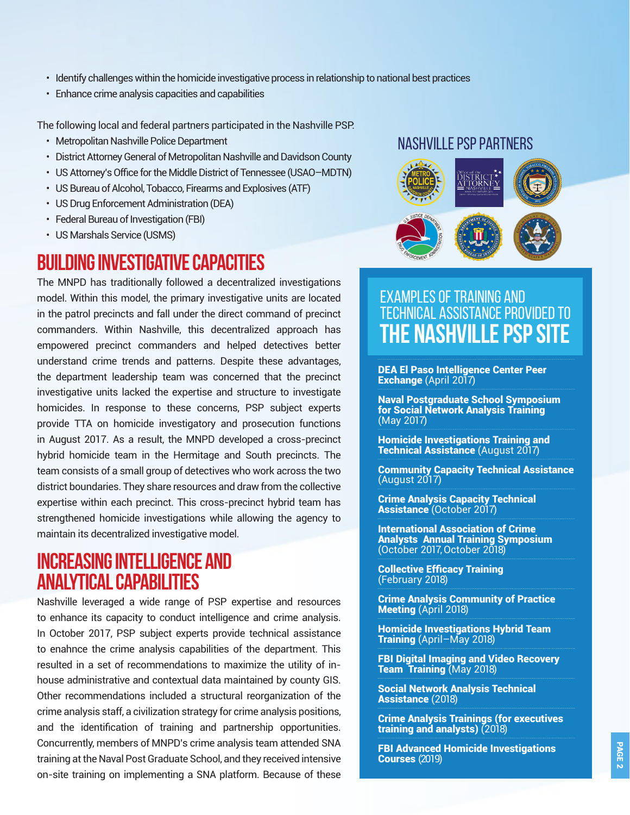- Identify challenges within the homicide investigative process in relationship to national best practices
- Enhance crime analysis capacities and capabilities

The following local and federal partners participated in the Nashville PSP:

- Metropolitan Nashville Police Department
- District Attorney General of Metropolitan Nashville and Davidson County
- US Attorney's Office for the Middle District of Tennessee (USAO–MDTN)
- US Bureau of Alcohol, Tobacco, Firearms and Explosives (ATF)
- US Drug Enforcement Administration (DEA)
- Federal Bureau of Investigation (FBI)
- US Marshals Service (USMS)

#### **Building Investigative Capacities**

The MNPD has traditionally followed a decentralized investigations model. Within this model, the primary investigative units are located in the patrol precincts and fall under the direct command of precinct commanders. Within Nashville, this decentralized approach has empowered precinct commanders and helped detectives better understand crime trends and patterns. Despite these advantages, the department leadership team was concerned that the precinct investigative units lacked the expertise and structure to investigate homicides. In response to these concerns, PSP subject experts provide TTA on homicide investigatory and prosecution functions in August 2017. As a result, the MNPD developed a cross-precinct hybrid homicide team in the Hermitage and South precincts. The team consists of a small group of detectives who work across the two district boundaries. They share resources and draw from the collective expertise within each precinct. This cross-precinct hybrid team has strengthened homicide investigations while allowing the agency to maintain its decentralized investigative model.

### **Increasing Intelligence and Analytical Capabilities**

Nashville leveraged a wide range of PSP expertise and resources to enhance its capacity to conduct intelligence and crime analysis. In October 2017, PSP subject experts provide technical assistance to enahnce the crime analysis capabilities of the department. This resulted in a set of recommendations to maximize the utility of inhouse administrative and contextual data maintained by county GIS. Other recommendations included a structural reorganization of the crime analysis staff, a civilization strategy for crime analysis positions, and the identification of training and partnership opportunities. Concurrently, members of MNPD's crime analysis team attended SNA training at the Naval Post Graduate School, and they received intensive on-site training on implementing a SNA platform. Because of these

#### NASHVILLE PSP PARTNERS



#### EXAMPLES OF TRAINING AND TECHNICAL ASSISTANCE provided to **the NASHVILLE PSP Site**

DEA El Paso Intelligence Center Peer Exchange (April 2017)

Naval Postgraduate School Symposium for Social Network Analysis Training (May 2017)

Homicide Investigations Training and Technical Assistance (August 2017)

Community Capacity Technical Assistance (August 2017)

Crime Analysis Capacity Technical Assistance (October 2017)

International Association of Crime Analysts Annual Training Symposium (October 2017, October 2018)

Collective Efficacy Training (February 2018)

Crime Analysis Community of Practice Meeting (April 2018)

Homicide Investigations Hybrid Team Training (April–May 2018)

FBI Digital Imaging and Video Recovery Team Training (May 2018)

Social Network Analysis Technical Assistance (2018)

Crime Analysis Trainings (for executives training and analysts) (2018)

FBI Advanced Homicide Investigations Courses (2019)